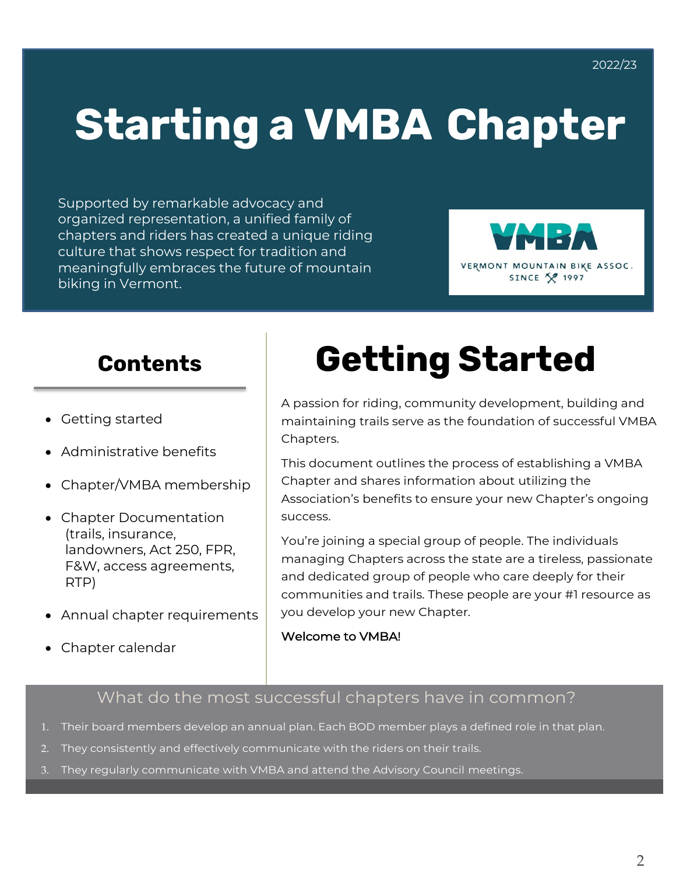# **Starting a VMBA Chapter**

Supported by remarkable advocacy and organized representation, a unified family of chapters and riders has created a unique riding culture that shows respect for tradition and meaningfully embraces the future of mountain biking in Vermont.



### **Contents**

- Getting started
- Administrative benefits
- Chapter/VMBA membership
- Chapter Documentation (trails, insurance, landowners, Act 250, FPR, F&W, access agreements, RTP)
- Annual chapter requirements
- Chapter calendar

# **Getting Started**

A passion for riding, community development, building and maintaining trails serve as the foundation of successful VMBA Chapters.

This document outlines the process of establishing a VMBA Chapter and shares information about utilizing the Association's benefits to ensure your new Chapter's ongoing success.

You're joining a special group of people. The individuals managing Chapters across the state are a tireless, passionate and dedicated group of people who care deeply for their communities and trails. These people are your #1 resource as you develop your new Chapter.

#### Welcome to VMBA!

### What do the most successful chapters have in common?

- 1. Their board members develop an annual plan. Each BOD member plays a defined role in that plan.
- 2. They consistently and effectively communicate with the riders on their trails.
- 3. They regularly communicate with VMBA and attend the Advisory Council meetings.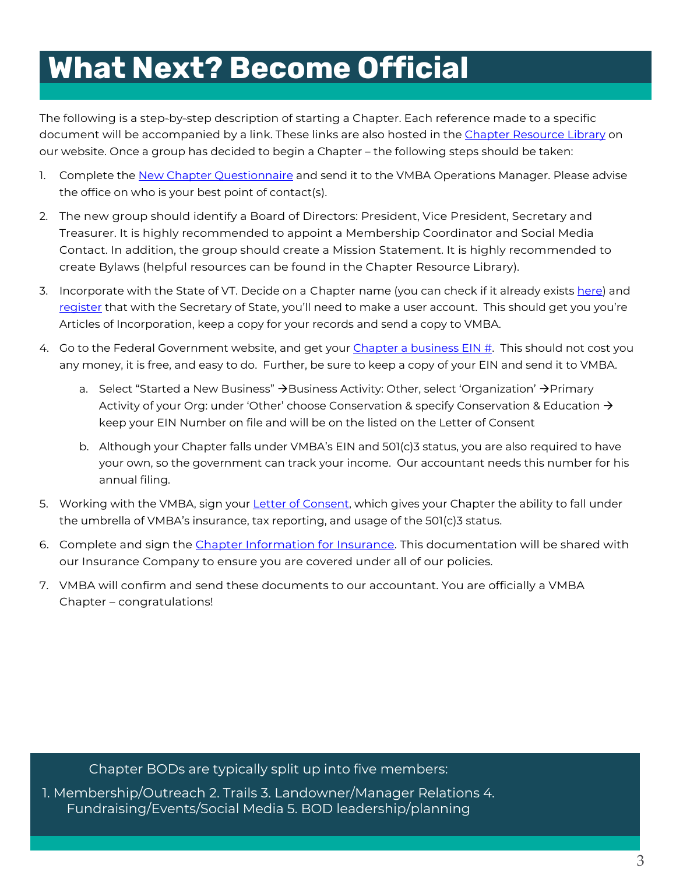## **What Next? Become Official**

The following is a step-by-step description of starting a Chapter. Each reference made to a specific document will be accompanied by a link. These links are also hosted in the [Chapter Resource Library](https://vmba.org/chapter-resource-library/) on our website. Once a group has decided to begin a Chapter – the following steps should be taken:

- 1. Complete the [New Chapter Questionnaire](https://vmba.org/wp-content/uploads/2020/05/New-Chapter-Questionnaire.pdf) and send it to the VMBA Operations Manager. Please advise the office on who is your best point of contact(s).
- 2. The new group should identify a Board of Directors: President, Vice President, Secretary and Treasurer. It is highly recommended to appoint a Membership Coordinator and Social Media Contact. In addition, the group should create a Mission Statement. It is highly recommended to create Bylaws (helpful resources can be found in the Chapter Resource Library).
- 3. Incorporate with the State of VT. Decide on a Chapter name (you can check if it already exists [here\)](https://bizfilings.vermont.gov/online/BusinessInquire/) and [register](https://sos.vermont.gov/corporations/registration/domestic-registration/nonprofit-corp/) that with the Secretary of State, you'll need to make a user account. This should get you you're Articles of Incorporation, keep a copy for your records and send a copy to VMBA.
- 4. Go to the Federal Government website, and get your [Chapter a business EIN #.](https://www.irs.gov/businesses/small-businesses-self-employed/apply-for-an-employer-identification-number-ein-online) This should not cost you any money, it is free, and easy to do. Further, be sure to keep a copy of your EIN and send it to VMBA.
	- a. Select "Started a New Business"  $\rightarrow$  Business Activity: Other, select 'Organization'  $\rightarrow$  Primary Activity of your Org: under 'Other' choose Conservation & specify Conservation & Education  $\rightarrow$ keep your EIN Number on file and will be on the listed on the Letter of Consent
	- b. Although your Chapter falls under VMBA's EIN and 501(c)3 status, you are also required to have your own, so the government can track your income. Our accountant needs this number for his annual filing.
- 5. Working with the VMBA, sign your [Letter of Consent,](https://vmba.org/wp-content/uploads/2020/08/Consent-Letter.-BLANK.docx.pdf) which gives your Chapter the ability to fall under the umbrella of VMBA's insurance, tax reporting, and usage of the 501(c)3 status.
- 6. Complete and sign the [Chapter Information for Insurance.](https://vmba.org/wp-content/uploads/2021/12/Final-Application-Chapter-Info-1.pdf) This documentation will be shared with our Insurance Company to ensure you are covered under all of our policies.
- 7. VMBA will confirm and send these documents to our accountant. You are officially a VMBA Chapter – congratulations!

Chapter BODs are typically split up into five members:

1. Membership/Outreach 2. Trails 3. Landowner/Manager Relations 4. Fundraising/Events/Social Media 5. BOD leadership/planning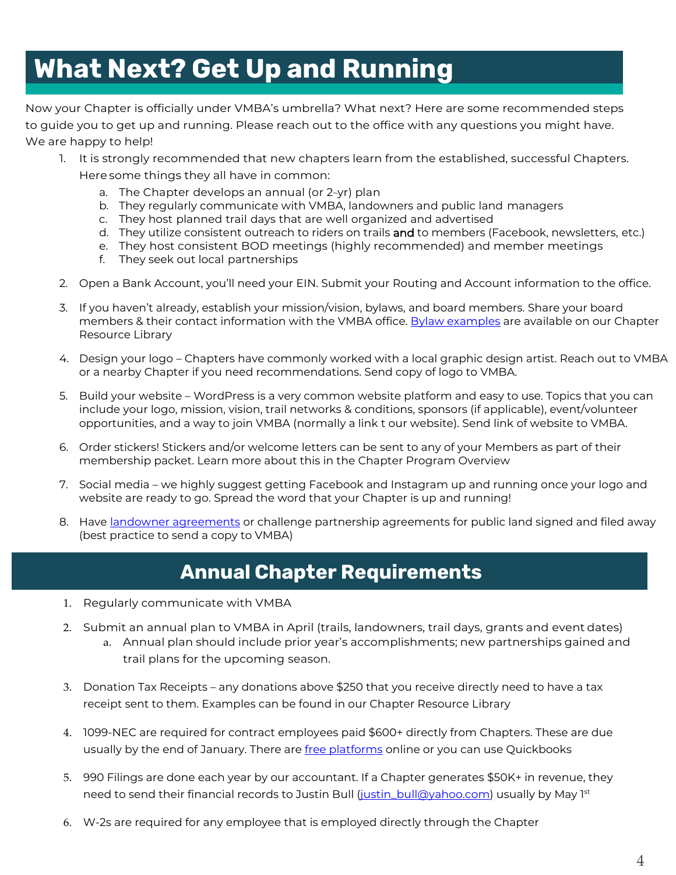## **What Next? Get Up and Running**

Now your Chapter is officially under VMBA's umbrella? What next? Here are some recommended steps to guide you to get up and running. Please reach out to the office with any questions you might have. We are happy to help!

- 1. It is strongly recommended that new chapters learn from the established, successful Chapters. Here some things they all have in common:
	- a. The Chapter develops an annual (or 2-yr) plan
	- b. They regularly communicate with VMBA, landowners and public land managers
	- c. They host planned trail days that are well organized and advertised
	- d. They utilize consistent outreach to riders on trails and to members (Facebook, newsletters, etc.)
	- e. They host consistent BOD meetings (highly recommended) and member meetings
	- f. They seek out local partnerships
- 2. Open a Bank Account, you'll need your EIN. Submit your Routing and Account information to the office.
- 3. If you haven't already, establish your mission/vision, bylaws, and board members. Share your board members & their contact information with the VMBA office. [Bylaw examples](https://vmba.org/chapter-programs/) are available on our Chapter Resource Library
- 4. Design your logo Chapters have commonly worked with a local graphic design artist. Reach out to VMBA or a nearby Chapter if you need recommendations. Send copy of logo to VMBA.
- 5. Build your website WordPress is a very common website platform and easy to use. Topics that you can include your logo, mission, vision, trail networks & conditions, sponsors (if applicable), event/volunteer opportunities, and a way to join VMBA (normally a link t our website). Send link of website to VMBA.
- 6. Order stickers! Stickers and/or welcome letters can be sent to any of your Members as part of their membership packet. Learn more about this in the Chapter Program Overview
- 7. Social media we highly suggest getting Facebook and Instagram up and running once your logo and website are ready to go. Spread the word that your Chapter is up and running!
- 8. Have [landowner agreements](https://vmba.org/landowners/) or challenge partnership agreements for public land signed and filed away (best practice to send a copy to VMBA)

### **Annual Chapter Requirements**

- 1. Regularly communicate with VMBA
- 2. Submit an annual plan to VMBA in April (trails, landowners, trail days, grants and event dates)
	- a. Annual plan should include prior year's accomplishments; new partnerships gained and trail plans for the upcoming season.
- 3. Donation Tax Receipts any donations above \$250 that you receive directly need to have a tax receipt sent to them. Examples can be found in our Chapter Resource Library
- 4. 1099-NEC are required for contract employees paid \$600+ directly from Chapters. These are due usually by the end of January. There are [free platforms](https://www.taxbandits.com/) online or you can use Quickbooks
- 5. 990 Filings are done each year by our accountant. If a Chapter generates \$50K+ in revenue, they need to send their financial records to Justin Bull [\(justin\\_bull@yahoo.com\)](mailto:justin_bull@yahoo.com) usually by May 1st
- 6. W-2s are required for any employee that is employed directly through the Chapter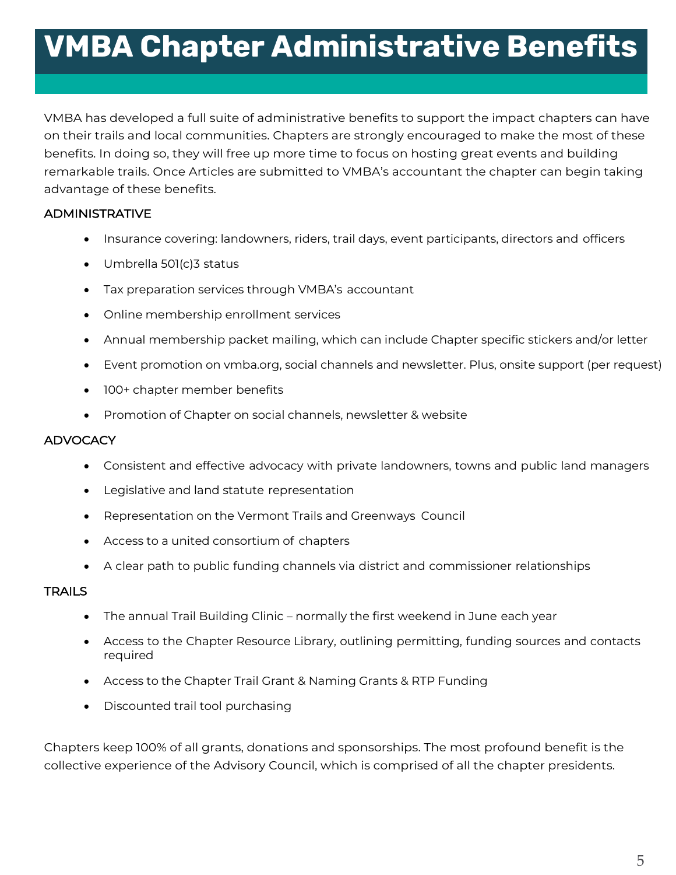# **VMBA Chapter Administrative Benefits**

VMBA has developed a full suite of administrative benefits to support the impact chapters can have on their trails and local communities. Chapters are strongly encouraged to make the most of these benefits. In doing so, they will free up more time to focus on hosting great events and building remarkable trails. Once Articles are submitted to VMBA's accountant the chapter can begin taking advantage of these benefits.

#### ADMINISTRATIVE

- Insurance covering: landowners, riders, trail days, event participants, directors and officers
- Umbrella 501(c)3 status
- Tax preparation services through VMBA's accountant
- Online membership enrollment services
- Annual membership packet mailing, which can include Chapter specific stickers and/or letter
- Event promotion on vmba.org, social channels and newsletter. Plus, onsite support (per request)
- 100+ chapter member benefits
- Promotion of Chapter on social channels, newsletter & website

#### **ADVOCACY**

- Consistent and effective advocacy with private landowners, towns and public land managers
- Legislative and land statute representation
- Representation on the Vermont Trails and Greenways Council
- Access to a united consortium of chapters
- A clear path to public funding channels via district and commissioner relationships

#### **TRAILS**

- The annual Trail Building Clinic normally the first weekend in June each year
- Access to the Chapter Resource Library, outlining permitting, funding sources and contacts required
- Access to the Chapter Trail Grant & Naming Grants & RTP Funding
- Discounted trail tool purchasing

Chapters keep 100% of all grants, donations and sponsorships. The most profound benefit is the collective experience of the Advisory Council, which is comprised of all the chapter presidents.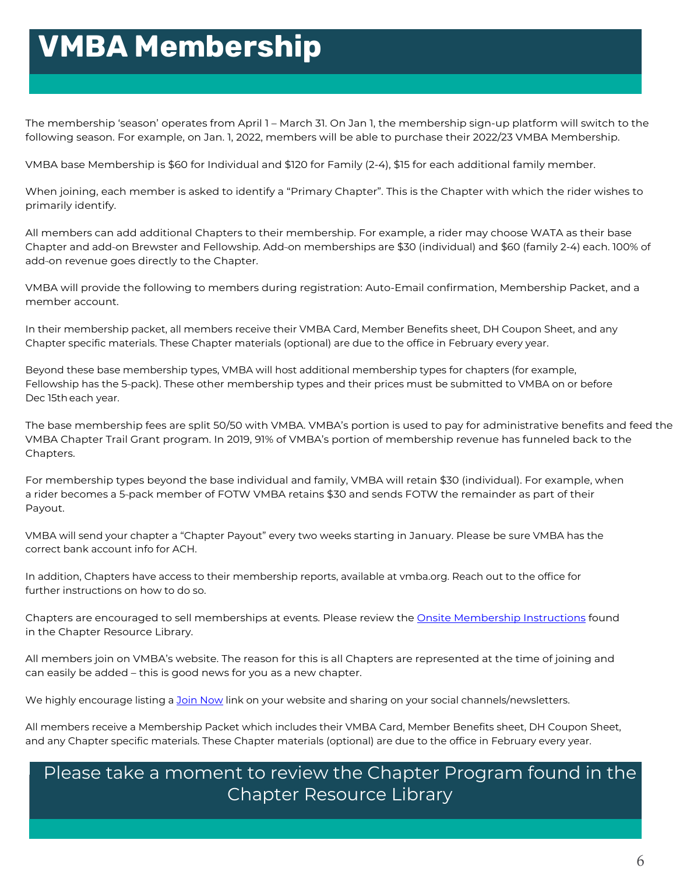## **VMBA Membership**

The membership 'season' operates from April 1 – March 31. On Jan 1, the membership sign-up platform will switch to the following season. For example, on Jan. 1, 2022, members will be able to purchase their 2022/23 VMBA Membership.

VMBA base Membership is \$60 for Individual and \$120 for Family (2-4), \$15 for each additional family member.

When joining, each member is asked to identify a "Primary Chapter". This is the Chapter with which the rider wishes to primarily identify.

All members can add additional Chapters to their membership. For example, a rider may choose WATA as their base Chapter and add-on Brewster and Fellowship. Add-on memberships are \$30 (individual) and \$60 (family 2-4) each. 100% of add-on revenue goes directly to the Chapter.

VMBA will provide the following to members during registration: Auto-Email confirmation, Membership Packet, and a member account.

In their membership packet, all members receive their VMBA Card, Member Benefits sheet, DH Coupon Sheet, and any Chapter specific materials. These Chapter materials (optional) are due to the office in February every year.

Beyond these base membership types, VMBA will host additional membership types for chapters (for example, Fellowship has the 5-pack). These other membership types and their prices must be submitted to VMBA on or before Dec 15th each year.

The base membership fees are split 50/50 with VMBA. VMBA's portion is used to pay for administrative benefits and feed the VMBA Chapter Trail Grant program. In 2019, 91% of VMBA's portion of membership revenue has funneled back to the Chapters.

For membership types beyond the base individual and family, VMBA will retain \$30 (individual). For example, when a rider becomes a 5-pack member of FOTW VMBA retains \$30 and sends FOTW the remainder as part of their Payout.

VMBA will send your chapter a "Chapter Payout" every two weeks starting in January. Please be sure VMBA has the correct bank account info for ACH.

In addition, Chapters have access to their membership reports, available at vmba.org. Reach out to the office for further instructions on how to do so.

Chapters are encouraged to sell memberships at events. Please review the **Onsite Membership Instructions** found in the Chapter Resource Library.

All members join on VMBA's website. The reason for this is all Chapters are represented at the time of joining and can easily be added – this is good news for you as a new chapter.

We highly encourage listing a [Join Now](https://vmba.org/join/) link on your website and sharing on your social channels/newsletters.

All members receive a Membership Packet which includes their VMBA Card, Member Benefits sheet, DH Coupon Sheet, and any Chapter specific materials. These Chapter materials (optional) are due to the office in February every year.

### Please take a moment to review the Chapter Program found in the Chapter Resource Library